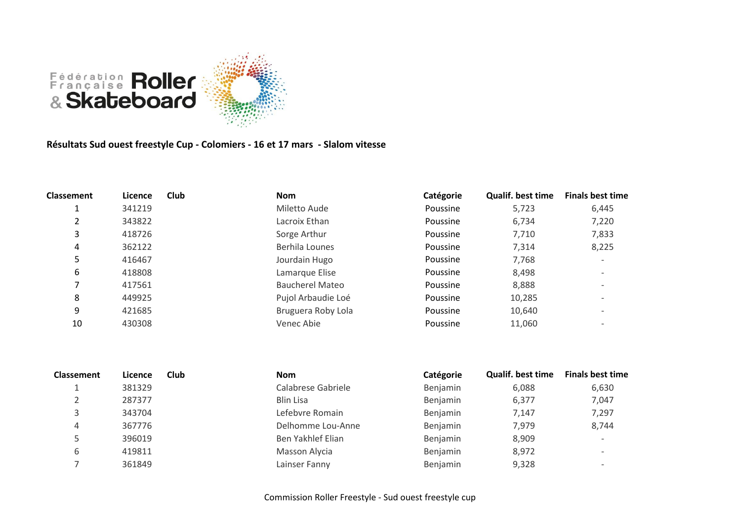

**Résultats Sud ouest freestyle Cup - Colomiers - 16 et 17 mars - Slalom vitesse**

| <b>Classement</b> | Licence | Club | <b>Nom</b>             | Catégorie | <b>Qualif. best time</b> | <b>Finals best time</b> |
|-------------------|---------|------|------------------------|-----------|--------------------------|-------------------------|
|                   | 341219  |      | Miletto Aude           | Poussine  | 5,723                    | 6,445                   |
| 2                 | 343822  |      | Lacroix Ethan          | Poussine  | 6,734                    | 7,220                   |
| 3                 | 418726  |      | Sorge Arthur           | Poussine  | 7,710                    | 7,833                   |
| 4                 | 362122  |      | Berhila Lounes         | Poussine  | 7,314                    | 8,225                   |
| 5.                | 416467  |      | Jourdain Hugo          | Poussine  | 7,768                    |                         |
| 6                 | 418808  |      | Lamarque Elise         | Poussine  | 8,498                    |                         |
|                   | 417561  |      | <b>Baucherel Mateo</b> | Poussine  | 8,888                    |                         |
| 8                 | 449925  |      | Pujol Arbaudie Loé     | Poussine  | 10,285                   |                         |
| 9                 | 421685  |      | Bruguera Roby Lola     | Poussine  | 10,640                   |                         |
| 10                | 430308  |      | Venec Abie             | Poussine  | 11,060                   |                         |

| <b>Classement</b> | Licence | Club | <b>Nom</b>         | Catégorie | <b>Qualif. best time</b> | <b>Finals best time</b>  |
|-------------------|---------|------|--------------------|-----------|--------------------------|--------------------------|
|                   | 381329  |      | Calabrese Gabriele | Benjamin  | 6,088                    | 6,630                    |
|                   | 287377  |      | <b>Blin Lisa</b>   | Benjamin  | 6,377                    | 7,047                    |
|                   | 343704  |      | Lefebvre Romain    | Benjamin  | 7.147                    | 7,297                    |
| 4                 | 367776  |      | Delhomme Lou-Anne  | Benjamin  | 7,979                    | 8,744                    |
|                   | 396019  |      | Ben Yakhlef Elian  | Benjamin  | 8,909                    | $\overline{\phantom{0}}$ |
| 6                 | 419811  |      | Masson Alycia      | Benjamin  | 8,972                    | $\overline{\phantom{0}}$ |
|                   | 361849  |      | Lainser Fanny      | Benjamin  | 9,328                    | $\overline{\phantom{0}}$ |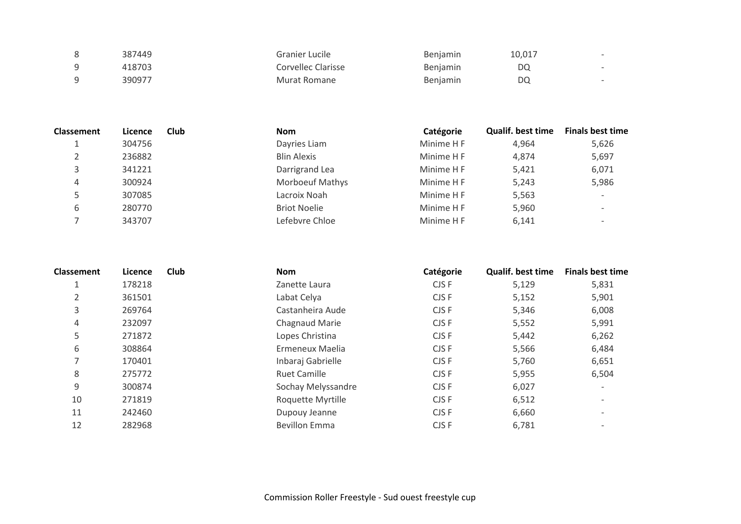| 387449 | Granier Lucile     | <b>Benjamin</b> | 10,017 | $\overline{\phantom{a}}$ |
|--------|--------------------|-----------------|--------|--------------------------|
| 418703 | Corvellec Clarisse | <b>Benjamin</b> | DQ     | $\overline{\phantom{a}}$ |
| 390977 | Murat Romane       | <b>Benjamin</b> | DO     | $\overline{\phantom{a}}$ |

| <b>Classement</b> | Licence | Club | <b>Nom</b>             | Catégorie  | <b>Qualif, best time</b> | <b>Finals best time</b> |
|-------------------|---------|------|------------------------|------------|--------------------------|-------------------------|
| <b>.</b>          | 304756  |      | Dayries Liam           | Minime H F | 4,964                    | 5,626                   |
|                   | 236882  |      | <b>Blin Alexis</b>     | Minime H F | 4,874                    | 5,697                   |
|                   | 341221  |      | Darrigrand Lea         | Minime H F | 5,421                    | 6,071                   |
| 4                 | 300924  |      | <b>Morboeuf Mathys</b> | Minime H F | 5,243                    | 5,986                   |
|                   | 307085  |      | Lacroix Noah           | Minime H F | 5,563                    |                         |
| 6                 | 280770  |      | <b>Briot Noelie</b>    | Minime H F | 5,960                    |                         |
|                   | 343707  |      | Lefebvre Chloe         | Minime H F | 6,141                    |                         |

| Classement | Licence | Club | <b>Nom</b>           | Catégorie | <b>Qualif, best time</b> | <b>Finals best time</b>  |
|------------|---------|------|----------------------|-----------|--------------------------|--------------------------|
|            | 178218  |      | Zanette Laura        | CJS F     | 5,129                    | 5,831                    |
| 2          | 361501  |      | Labat Celya          | CJS F     | 5,152                    | 5,901                    |
| 3          | 269764  |      | Castanheira Aude     | CJS F     | 5,346                    | 6,008                    |
| 4          | 232097  |      | Chagnaud Marie       | CJS F     | 5,552                    | 5,991                    |
| 5          | 271872  |      | Lopes Christina      | CJS F     | 5,442                    | 6,262                    |
| 6          | 308864  |      | Ermeneux Maelia      | CJS F     | 5,566                    | 6,484                    |
|            | 170401  |      | Inbaraj Gabrielle    | CJS F     | 5,760                    | 6,651                    |
| 8          | 275772  |      | <b>Ruet Camille</b>  | CJS F     | 5,955                    | 6,504                    |
| 9          | 300874  |      | Sochay Melyssandre   | CJS F     | 6,027                    | $\overline{\phantom{0}}$ |
| 10         | 271819  |      | Roquette Myrtille    | CJS F     | 6,512                    | $\overline{\phantom{0}}$ |
| 11         | 242460  |      | Dupouy Jeanne        | CJS F     | 6,660                    | $\overline{\phantom{0}}$ |
| 12         | 282968  |      | <b>Bevillon Emma</b> | CJS F     | 6,781                    |                          |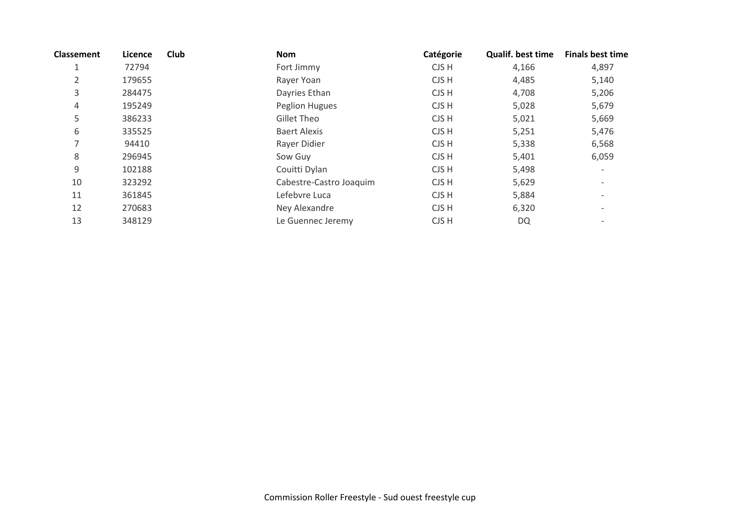| <b>Classement</b> | Licence | <b>Club</b> | Nom                     | Catégorie | Qualif. best time | <b>Finals best time</b>  |
|-------------------|---------|-------------|-------------------------|-----------|-------------------|--------------------------|
| 1                 | 72794   |             | Fort Jimmy              | CJS H     | 4,166             | 4,897                    |
| 2                 | 179655  |             | Rayer Yoan              | CJS H     | 4,485             | 5,140                    |
| 3                 | 284475  |             | Dayries Ethan           | CJS H     | 4,708             | 5,206                    |
| 4                 | 195249  |             | <b>Peglion Hugues</b>   | CJS H     | 5,028             | 5,679                    |
| 5                 | 386233  |             | Gillet Theo             | CJS H     | 5,021             | 5,669                    |
| 6                 | 335525  |             | <b>Baert Alexis</b>     | CJS H     | 5,251             | 5,476                    |
| 7                 | 94410   |             | Rayer Didier            | CJS H     | 5,338             | 6,568                    |
| 8                 | 296945  |             | Sow Guy                 | CJS H     | 5,401             | 6,059                    |
| 9                 | 102188  |             | Couitti Dylan           | CJS H     | 5,498             |                          |
| 10                | 323292  |             | Cabestre-Castro Joaquim | CJS H     | 5,629             | $\overline{\phantom{a}}$ |
| 11                | 361845  |             | Lefebvre Luca           | CJS H     | 5,884             |                          |
| 12                | 270683  |             | Ney Alexandre           | CJS H     | 6,320             | $\overline{\phantom{a}}$ |
| 13                | 348129  |             | Le Guennec Jeremy       | CJS H     | <b>DQ</b>         |                          |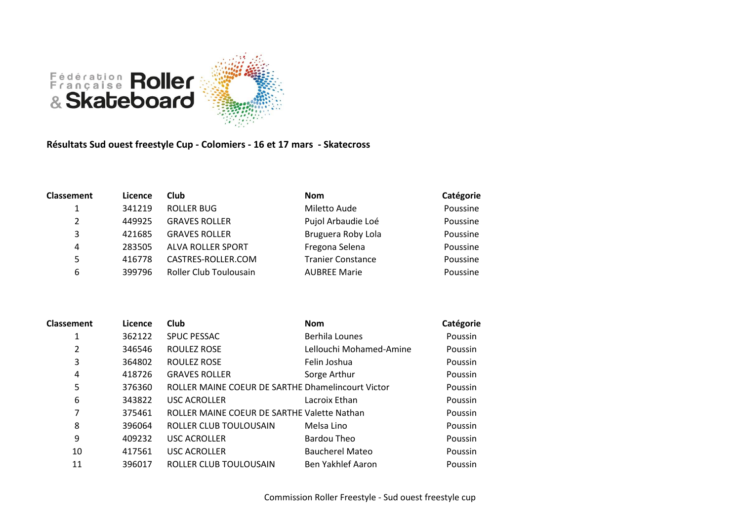

## **Résultats Sud ouest freestyle Cup - Colomiers - 16 et 17 mars - Skatecross**

| <b>Classement</b> | Licence | <b>Club</b>              | <b>Nom</b>               | Catégorie |
|-------------------|---------|--------------------------|--------------------------|-----------|
|                   | 341219  | <b>ROLLER BUG</b>        | Miletto Aude             | Poussine  |
| 2                 | 449925  | <b>GRAVES ROLLER</b>     | Pujol Arbaudie Loé       | Poussine  |
| 3                 | 421685  | <b>GRAVES ROLLER</b>     | Bruguera Roby Lola       | Poussine  |
| 4                 | 283505  | <b>ALVA ROLLER SPORT</b> | Fregona Selena           | Poussine  |
| 5.                | 416778  | CASTRES-ROLLER.COM       | <b>Tranier Constance</b> | Poussine  |
| 6                 | 399796  | Roller Club Toulousain   | <b>AUBREE Marie</b>      | Poussine  |

| <b>Classement</b> | Licence | <b>Club</b>                                       | <b>Nom</b>              | Catégorie      |
|-------------------|---------|---------------------------------------------------|-------------------------|----------------|
| 1                 | 362122  | <b>SPUC PESSAC</b>                                | <b>Berhila Lounes</b>   | <b>Poussin</b> |
| 2                 | 346546  | ROULEZ ROSE                                       | Lellouchi Mohamed-Amine | Poussin        |
| 3                 | 364802  | ROULEZ ROSE                                       | Felin Joshua            | Poussin        |
| 4                 | 418726  | <b>GRAVES ROLLER</b>                              | Sorge Arthur            | Poussin        |
| 5                 | 376360  | ROLLER MAINE COEUR DE SARTHE Dhamelincourt Victor |                         | <b>Poussin</b> |
| 6                 | 343822  | <b>USC ACROLLER</b>                               | Lacroix Ethan           | Poussin        |
| 7                 | 375461  | ROLLER MAINE COEUR DE SARTHE Valette Nathan       |                         | Poussin        |
| 8                 | 396064  | ROLLER CLUB TOULOUSAIN                            | Melsa Lino              | Poussin        |
| 9                 | 409232  | <b>USC ACROLLER</b>                               | Bardou Theo             | Poussin        |
| 10                | 417561  | <b>USC ACROLLER</b>                               | <b>Baucherel Mateo</b>  | Poussin        |
| 11                | 396017  | ROLLER CLUB TOULOUSAIN                            | Ben Yakhlef Aaron       | Poussin        |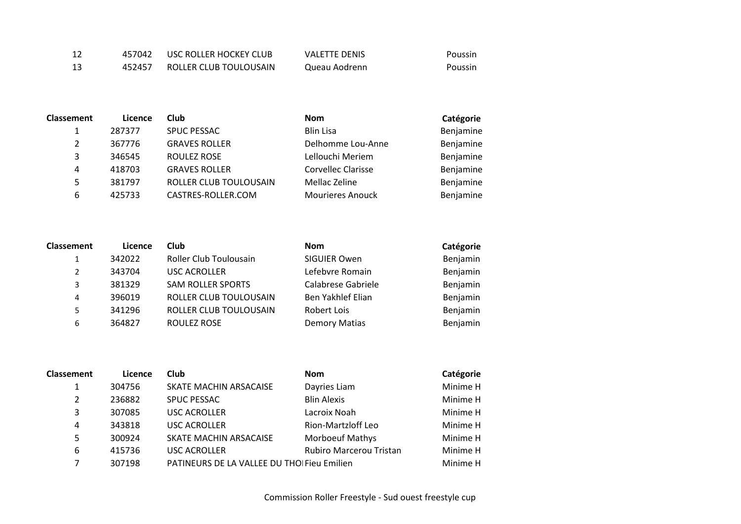| 12  | 457042 | USC ROLLER HOCKEY CLUB | VALETTE DENIS | Poussin |
|-----|--------|------------------------|---------------|---------|
| -13 | 452457 | ROLLER CLUB TOULOUSAIN | Queau Aodrenn | Poussin |

| <b>Classement</b> | Licence | <b>Club</b>            | <b>Nom</b>              | Catégorie |
|-------------------|---------|------------------------|-------------------------|-----------|
| 1                 | 287377  | <b>SPUC PESSAC</b>     | <b>Blin Lisa</b>        | Benjamine |
| 2                 | 367776  | <b>GRAVES ROLLER</b>   | Delhomme Lou-Anne       | Benjamine |
| 3                 | 346545  | <b>ROULEZ ROSE</b>     | Lellouchi Meriem        | Benjamine |
| 4                 | 418703  | <b>GRAVES ROLLER</b>   | Corvellec Clarisse      | Benjamine |
| 5                 | 381797  | ROLLER CLUB TOULOUSAIN | Mellac Zeline           | Benjamine |
| 6                 | 425733  | CASTRES-ROLLER.COM     | <b>Mourieres Anouck</b> | Benjamine |

| <b>Classement</b> | Licence | <b>Club</b>              | <b>Nom</b>           | Catégorie |
|-------------------|---------|--------------------------|----------------------|-----------|
|                   | 342022  | Roller Club Toulousain   | SIGUIER Owen         | Benjamin  |
| $\mathcal{P}$     | 343704  | <b>USC ACROLLER</b>      | Lefebvre Romain      | Benjamin  |
| 3                 | 381329  | <b>SAM ROLLER SPORTS</b> | Calabrese Gabriele   | Benjamin  |
| 4                 | 396019  | ROLLER CLUB TOULOUSAIN   | Ben Yakhlef Elian    | Benjamin  |
| 5                 | 341296  | ROLLER CLUB TOULOUSAIN   | Robert Lois          | Benjamin  |
| 6                 | 364827  | ROULEZ ROSE              | <b>Demory Matias</b> | Benjamin  |

| <b>Classement</b> | Licence | <b>Club</b>                                 | <b>Nom</b>                     | Catégorie |
|-------------------|---------|---------------------------------------------|--------------------------------|-----------|
| 1                 | 304756  | SKATE MACHIN ARSACAISE                      | Dayries Liam                   | Minime H  |
| 2                 | 236882  | <b>SPUC PESSAC</b>                          | <b>Blin Alexis</b>             | Minime H  |
| 3                 | 307085  | <b>USC ACROLLER</b>                         | Lacroix Noah                   | Minime H  |
| 4                 | 343818  | <b>USC ACROLLER</b>                         | <b>Rion-Martzloff Leo</b>      | Minime H  |
| 5                 | 300924  | SKATE MACHIN ARSACAISE                      | <b>Morboeuf Mathys</b>         | Minime H  |
| 6                 | 415736  | <b>USC ACROLLER</b>                         | <b>Rubiro Marcerou Tristan</b> | Minime H  |
|                   | 307198  | PATINEURS DE LA VALLEE DU THOI Fieu Emilien |                                | Minime H  |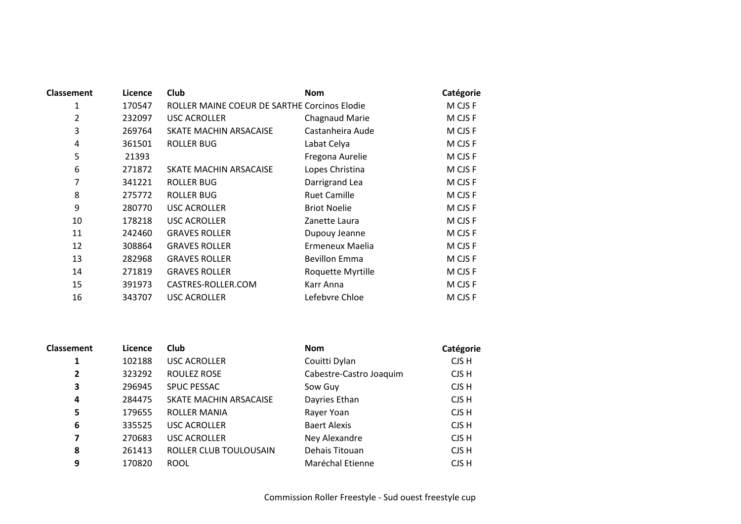| <b>Classement</b> | Licence | <b>Club</b>                                  | <b>Nom</b>           | Catégorie |
|-------------------|---------|----------------------------------------------|----------------------|-----------|
| 1                 | 170547  | ROLLER MAINE COEUR DE SARTHE Corcinos Elodie |                      | M CJS F   |
| $\overline{2}$    | 232097  | <b>USC ACROLLER</b>                          | Chagnaud Marie       | M CJS F   |
| 3                 | 269764  | SKATE MACHIN ARSACAISE                       | Castanheira Aude     | M CJS F   |
| 4                 | 361501  | <b>ROLLER BUG</b>                            | Labat Celya          | M CJS F   |
| 5                 | 21393   |                                              | Fregona Aurelie      | M CJS F   |
| 6                 | 271872  | SKATE MACHIN ARSACAISE                       | Lopes Christina      | M CJS F   |
| 7                 | 341221  | <b>ROLLER BUG</b>                            | Darrigrand Lea       | M CJS F   |
| 8                 | 275772  | <b>ROLLER BUG</b>                            | <b>Ruet Camille</b>  | M CJS F   |
| 9                 | 280770  | <b>USC ACROLLER</b>                          | <b>Briot Noelie</b>  | M CJS F   |
| 10                | 178218  | <b>USC ACROLLER</b>                          | Zanette Laura        | M CJS F   |
| 11                | 242460  | <b>GRAVES ROLLER</b>                         | Dupouy Jeanne        | M CJS F   |
| 12                | 308864  | <b>GRAVES ROLLER</b>                         | Ermeneux Maelia      | M CJS F   |
| 13                | 282968  | <b>GRAVES ROLLER</b>                         | <b>Bevillon Emma</b> | M CJS F   |
| 14                | 271819  | <b>GRAVES ROLLER</b>                         | Roquette Myrtille    | M CJS F   |
| 15                | 391973  | CASTRES-ROLLER.COM                           | Karr Anna            | M CJS F   |
| 16                | 343707  | <b>USC ACROLLER</b>                          | Lefebvre Chloe       | M CJS F   |

| <b>Classement</b> | Licence | <b>Club</b>            | <b>Nom</b>              | Catégorie |
|-------------------|---------|------------------------|-------------------------|-----------|
| 1                 | 102188  | <b>USC ACROLLER</b>    | Couitti Dylan           | CJS H     |
| $\overline{2}$    | 323292  | ROULEZ ROSE            | Cabestre-Castro Joaquim | CJS H     |
| 3                 | 296945  | <b>SPUC PESSAC</b>     | Sow Guy                 | CJS H     |
| 4                 | 284475  | SKATE MACHIN ARSACAISE | Dayries Ethan           | CJS H     |
| 5                 | 179655  | ROLLER MANIA           | Rayer Yoan              | CJS H     |
| 6                 | 335525  | <b>USC ACROLLER</b>    | <b>Baert Alexis</b>     | CJS H     |
| 7                 | 270683  | <b>USC ACROLLER</b>    | Ney Alexandre           | CJS H     |
| 8                 | 261413  | ROLLER CLUB TOULOUSAIN | Dehais Titouan          | CJS H     |
| 9                 | 170820  | <b>ROOL</b>            | Maréchal Etienne        | CJS H     |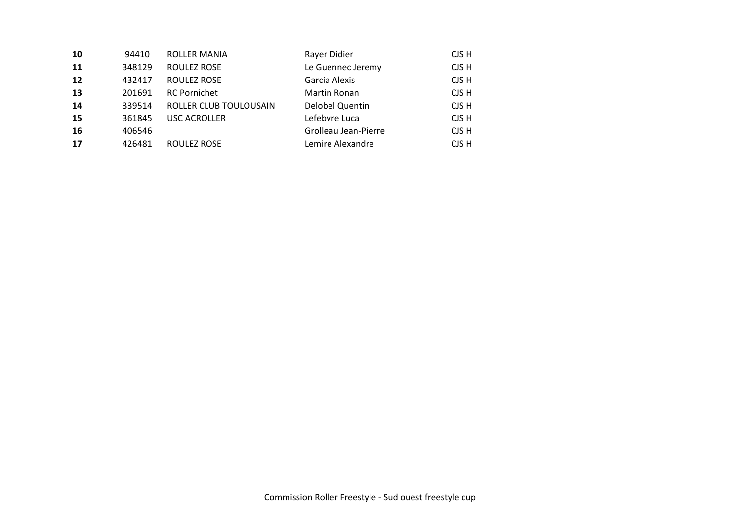| 10 | 94410  | <b>ROLLER MANIA</b>    | Rayer Didier         | CJS H |
|----|--------|------------------------|----------------------|-------|
| 11 | 348129 | <b>ROULEZ ROSE</b>     | Le Guennec Jeremy    | CJS H |
| 12 | 432417 | <b>ROULEZ ROSE</b>     | Garcia Alexis        | CJS H |
| 13 | 201691 | <b>RC Pornichet</b>    | Martin Ronan         | CJS H |
| 14 | 339514 | ROLLER CLUB TOULOUSAIN | Delobel Quentin      | CJS H |
| 15 | 361845 | <b>USC ACROLLER</b>    | Lefebvre Luca        | CJS H |
| 16 | 406546 |                        | Grolleau Jean-Pierre | CJS H |
| 17 | 426481 | <b>ROULEZ ROSE</b>     | Lemire Alexandre     | CJS H |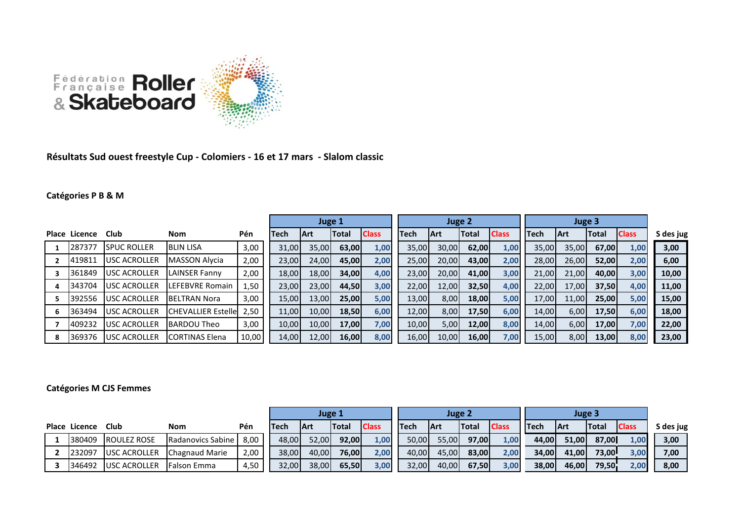

**Résultats Sud ouest freestyle Cup - Colomiers - 16 et 17 mars - Slalom classic**

## **Catégories P B & M**

|   |               |                     |                            |       |       | Juge 1 |              |              |             |            | Juge 2 |              |             |            |       |              |           |
|---|---------------|---------------------|----------------------------|-------|-------|--------|--------------|--------------|-------------|------------|--------|--------------|-------------|------------|-------|--------------|-----------|
|   | Place Licence | Club                | <b>Nom</b>                 | Pén   | Tech  | lArt   | <b>Total</b> | <b>Class</b> | <b>Tech</b> | <b>Art</b> | Total  | <b>Class</b> | <b>Tech</b> | <b>Art</b> | Total | <b>Class</b> | S des jug |
|   | 287377        | <b>SPUC ROLLER</b>  | <b>BLIN LISA</b>           | 3,00  | 31,00 | 35,00  | 63,00        | 1,00         | 35,00       | 30,00      | 62,00  | 1,00         | 35,00       | 35,00      | 67,00 | 1,00         | 3,00      |
|   | 419811        | USC ACROLLER        | MASSON Alvcia              | 2,00  | 23,00 | 24,00  | 45.00        | 2,00         | 25,00       | 20,00      | 43,00  | 2,00         | 28,00       | 26,00      | 52,00 | 2,00         | 6,00      |
|   | 361849        | <b>USC ACROLLER</b> | <b>LAINSER Fanny</b>       | 2,00  | 18,00 | 18,00  | 34,00        | 4,00         | 23,00       | 20,00      | 41,00  | 3,00         | 21,00       | 21.00      | 40,00 | 3,00         | 10,00     |
|   | 343704        | <b>USC ACROLLER</b> | <b>LEFEBVRE Romain</b>     | 1,50  | 23,00 | 23,00  | 44,50        | 3,00         | 22,00       | 12,00      | 32,50  | 4,00         | 22,00       | 17,00      | 37,50 | 4,00         | 11,00     |
|   | 392556        | USC ACROLLER        | <b>BELTRAN Nora</b>        | 3,00  | 15,00 | 13,00  | 25,00        | 5,00         | 13,00       | 8,00       | 18,00  | 5,00         | 17,00       | 11,00      | 25,00 | 5,00         | 15,00     |
| 6 | 363494        | USC ACROLLER        | <b>CHEVALLIER Estellel</b> | 2.50  | 11,00 | 10,00  | 18,50        | 6,00         | 12,00       | 8,00       | 17,50  | 6,00         | 14,00       | 6,00       | 17,50 | 6,00         | 18,00     |
|   | 409232        | <b>USC ACROLLER</b> | <b>IBARDOU Theo</b>        | 3,00  | 10,00 | 10,00  | 17,00        | 7,00         | 10,00       | 5,00       | 12,00  | 8,00         | 14,00       | 6,00       | 17,00 | 7,00         | 22,00     |
|   | 369376        | <b>USC ACROLLER</b> | <b>ICORTINAS Elena</b>     | 10,00 | 14,00 | 12,00  | 16,00        | 8,00         | 16,00       | 10,00      | 16,00  | 7,00         | 15,00       | 8,00       | 13,00 | 8,00         | 23,00     |

## **Catégories M CJS Femmes**

|               |                     |                     |      | Juge 1      |                |              |              |  |       | Juge 2      |               |              |             |             |              |              |           |
|---------------|---------------------|---------------------|------|-------------|----------------|--------------|--------------|--|-------|-------------|---------------|--------------|-------------|-------------|--------------|--------------|-----------|
| Place Licence | Club                | Nom                 | Pén  | <b>Tech</b> | <b>IArt</b>    | <b>Total</b> | <b>Class</b> |  | lTech | <b>IArt</b> | <b>ITotal</b> | <b>Class</b> | <b>Tech</b> | <b>IArt</b> | <b>Total</b> | <b>Class</b> | S des jug |
| 380409        | ROULEZ ROSE         | Radanovics Sabine   | 8.00 | 48,00       | 52,00 <b>1</b> | 92,00        | 1,00         |  | 50,00 | 55,00       | 97,00         | 1,00         | 44,00       | 51,00       | 87,00        | 1.00         | 3,00      |
| 232097        | <b>USC ACROLLER</b> | Chagnaud Marie      | 2,00 | 38,00       | 40,00l         | 76,00        | 2,00         |  | 40,00 | 45,00       | 83,00         | 2,00         | 34,00       | 41,00       | <b>73,00</b> | 3,00         | 7,00      |
| 346492        | <b>USC ACROLLER</b> | <b>IFalson Emma</b> | 4,50 | 32,00       | 38,00          | 65,50        | 3,00         |  | 32,00 | 40,00       | 67,50         | 3,00         | 38,00       | 46,00       | 79,50        | 2,00         | 8,00      |